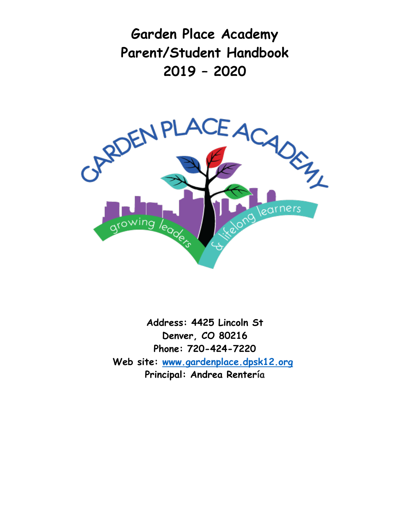**Garden Place Academy Parent/Student Handbook 2019 – 2020**



**Address: 4425 Lincoln St Denver, CO 80216 Phone: 720-424-7220 Web site: [www.gardenplace.dpsk12.org](http://www.gardenplace.dpsk12.org/) Principal: Andrea Rentería**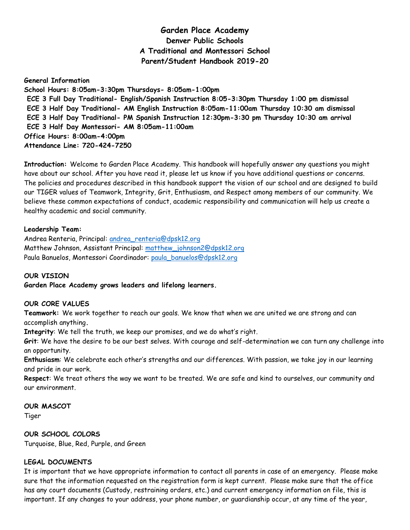# **Garden Place Academy Denver Public Schools A Traditional and Montessori School Parent/Student Handbook 2019-20**

**General Information School Hours: 8:05am-3:30pm Thursdays- 8:05am-1:00pm ECE 3 Full Day Traditional- English/Spanish Instruction 8:05-3:30pm Thursday 1:00 pm dismissal ECE 3 Half Day Traditional- AM English Instruction 8:05am-11:00am Thursday 10:30 am dismissal ECE 3 Half Day Traditional- PM Spanish Instruction 12:30pm-3:30 pm Thursday 10:30 am arrival ECE 3 Half Day Montessori- AM 8:05am-11:00am Office Hours: 8:00am-4:00pm Attendance Line: 720-424-7250**

**Introduction:** Welcome to Garden Place Academy. This handbook will hopefully answer any questions you might have about our school. After you have read it, please let us know if you have additional questions or concerns. The policies and procedures described in this handbook support the vision of our school and are designed to build our TIGER values of Teamwork, Integrity, Grit, Enthusiasm, and Respect among members of our community. We believe these common expectations of conduct, academic responsibility and communication will help us create a healthy academic and social community.

#### **Leadership Team:**

Andrea Renteria, Principal: [andrea\\_renteria@dpsk12.org](mailto:andrea_renteria@dpsk12.org) Matthew Johnson, Assistant Principal: [matthew\\_johnson2@dpsk12.org](mailto:matthew_johnson2@dpsk12.org) Paula Banuelos, Montessori Coordinador: [paula\\_banuelos@dpsk12.org](mailto:paula_banuelos@dpsk12.org)

# **OUR VISION**

**Garden Place Academy grows leaders and lifelong learners.**

#### **OUR CORE VALUES**

**Teamwork:** We work together to reach our goals. We know that when we are united we are strong and can accomplish anything**.**

**Integrity**: We tell the truth, we keep our promises, and we do what's right.

**Grit**: We have the desire to be our best selves. With courage and self-determination we can turn any challenge into an opportunity.

**Enthusiasm**: We celebrate each other's strengths and our differences. With passion, we take joy in our learning and pride in our work.

**Respect**: We treat others the way we want to be treated. We are safe and kind to ourselves, our community and our environment.

#### **OUR MASCOT**

Tiger

# **OUR SCHOOL COLORS**

Turquoise, Blue, Red, Purple, and Green

# **LEGAL DOCUMENTS**

It is important that we have appropriate information to contact all parents in case of an emergency. Please make sure that the information requested on the registration form is kept current. Please make sure that the office has any court documents (Custody, restraining orders, etc.) and current emergency information on file, this is important. If any changes to your address, your phone number, or guardianship occur, at any time of the year,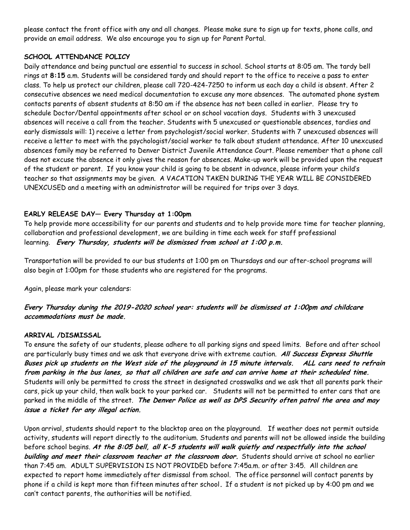please contact the front office with any and all changes. Please make sure to sign up for texts, phone calls, and provide an email address. We also encourage you to sign up for Parent Portal.

### **SCHOOL ATTENDANCE POLICY**

Daily attendance and being punctual are essential to success in school. School starts at 8:05 am. The tardy bell rings at **8:15** a.m. Students will be considered tardy and should report to the office to receive a pass to enter class. To help us protect our children, please call 720-424-7250 to inform us each day a child is absent. After 2 consecutive absences we need medical documentation to excuse any more absences. The automated phone system contacts parents of absent students at 8:50 am if the absence has not been called in earlier. Please try to schedule Doctor/Dental appointments after school or on school vacation days. Students with 3 unexcused absences will receive a call from the teacher. Students with 5 unexcused or questionable absences, tardies and early dismissals will: 1) receive a letter from psychologist/social worker. Students with 7 unexcused absences will receive a letter to meet with the psychologist/social worker to talk about student attendance. After 10 unexcused absences family may be referred to Denver District Juvenile Attendance Court. Please remember that a phone call does not excuse the absence it only gives the reason for absences. Make-up work will be provided upon the request of the student or parent. If you know your child is going to be absent in advance, please inform your child's teacher so that assignments may be given. A VACATION TAKEN DURING THE YEAR WILL BE CONSIDERED UNEXCUSED and a meeting with an administrator will be required for trips over 3 days.

# **EARLY RELEASE DAY— Every Thursday at 1:00pm**

To help provide more accessibility for our parents and students and to help provide more time for teacher planning, collaboration and professional development, we are building in time each week for staff professional learning. **Every Thursday, students will be dismissed from school at 1:00 p.m.**

Transportation will be provided to our bus students at 1:00 pm on Thursdays and our after-school programs will also begin at 1:00pm for those students who are registered for the programs.

Again, please mark your calendars:

# **Every Thursday during the 2019-2020 school year: students will be dismissed at 1:00pm and childcare accommodations must be made.**

# **ARRIVAL /DISMISSAL**

To ensure the safety of our students, please adhere to all parking signs and speed limits. Before and after school are particularly busy times and we ask that everyone drive with extreme caution. **All Success Express Shuttle Buses pick up students on the West side of the playground in 15 minute intervals. ALL cars need to refrain from parking in the bus lanes, so that all children are safe and can arrive home at their scheduled time.**  Students will only be permitted to cross the street in designated crosswalks and we ask that all parents park their cars, pick up your child, then walk back to your parked car. Students will not be permitted to enter cars that are parked in the middle of the street. **The Denver Police as well as DPS Security often patrol the area and may issue a ticket for any illegal action.**

Upon arrival, students should report to the blacktop area on the playground. If weather does not permit outside activity, students will report directly to the auditorium. Students and parents will not be allowed inside the building before school begins. **At the 8:05 bell, all K-5 students will walk quietly and respectfully into the school building and meet their classroom teacher at the classroom door.** Students should arrive at school no earlier than 7:45 am. ADULT SUPERVISION IS NOT PROVIDED before 7:45a.m. or after 3:45. All children are expected to report home immediately after dismissal from school. The office personnel will contact parents by phone if a child is kept more than fifteen minutes after school**.** If a student is not picked up by 4:00 pm and we can't contact parents, the authorities will be notified.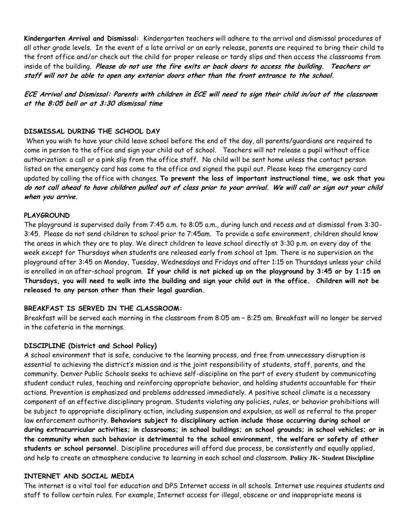**Kindergarten Arrival and Dismissal:** Kindergarten teachers will adhere to the arrival and dismissal procedures of all other grade levels. In the event of a late arrival or an early release, parents are required to bring their child to the front office and/or check out the child for proper release or tardy slips and then access the classrooms from inside of the building. **Please do not use the fire exits or back doors to access the building. Teachers or staff will not be able to open any exterior doors other than the front entrance to the school.**

**ECE Arrival and Dismissal: Parents with children in ECE will need to sign their child in/out of the classroom at the 8:05 bell or at 3:30 dismissal time**

#### **DISMISSAL DURING THE SCHOOL DAY**

When you wish to have your child leave school before the end of the day, all parents/guardians are required to come in person to the office and sign your child out of school. Teachers will not release a pupil without office authorization: a call or a pink slip from the office staff. No child will be sent home unless the contact person listed on the emergency card has come to the office and signed the pupil out. Please keep the emergency card updated by calling the office with changes. **To prevent the loss of important instructional time, we ask that you do not call ahead to have children pulled out of class prior to your arrival. We will call or sign out your child when you arrive.**

#### **PLAYGROUND**

The playground is supervised daily from 7:45 a.m. to 8:05 a.m., during lunch and recess and at dismissal from 3:30- 3:45. Please do not send children to school prior to 7:45am. To provide a safe environment, children should know the areas in which they are to play. We direct children to leave school directly at 3:30 p.m. on every day of the week except for Thursdays when students are released early from school at 1pm. There is no supervision on the playground after 3:45 on Monday, Tuesday, Wednesdays and Fridays and after 1:15 on Thursdays unless your child is enrolled in an after-school program. **If your child is not picked up on the playground by 3:45 or by 1:15 on Thursdays, you will need to walk into the building and sign your child out in the office. Children will not be released to any person other than their legal guardian.** 

#### **BREAKFAST IS SERVED IN THE CLASSROOM:**

Breakfast will be served each morning in the classroom from 8:05 am – 8:25 am. Breakfast will no longer be served in the cafeteria in the mornings.

#### **DISCIPLINE (District and School Policy)**

A school environment that is safe, conducive to the learning process, and free from unnecessary disruption is essential to achieving the district's mission and is the joint responsibility of students, staff, parents, and the community. Denver Public Schools seeks to achieve self-discipline on the part of every student by communicating student conduct rules, teaching and reinforcing appropriate behavior, and holding students accountable for their actions. Prevention is emphasized and problems addressed immediately. A positive school climate is a necessary component of an effective disciplinary program. Students violating any policies, rules, or behavior prohibitions will be subject to appropriate disciplinary action, including suspension and expulsion, as well as referral to the proper law enforcement authority. **Behaviors subject to disciplinary action include those occurring during school or during extracurricular activities; in classrooms; in school buildings; on school grounds; in school vehicles; or in the community when such behavior is detrimental to the school environment, the welfare or safety of other students or school personnel.** Discipline procedures will afford due process, be consistently and equally applied, and help to create an atmosphere conducive to learning in each school and classroom. **Policy JK- Student Discipline**

### **INTERNET AND SOCIAL MEDIA**

The internet is a vital tool for education and DPS Internet access in all schools. Internet use requires students and staff to follow certain rules. For example, Internet access for illegal, obscene or and inappropriate means is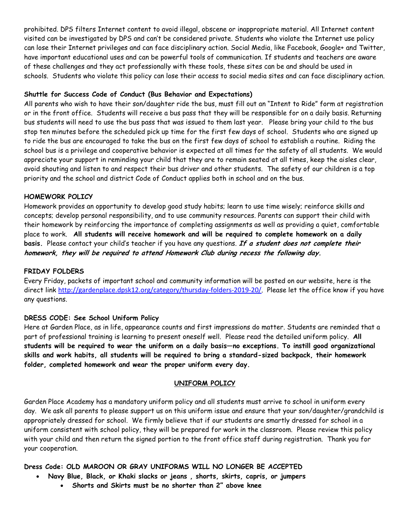prohibited. DPS filters Internet content to avoid illegal, obscene or inappropriate material. All Internet content visited can be investigated by DPS and can't be considered private. Students who violate the Internet use policy can lose their Internet privileges and can face disciplinary action. Social Media, like Facebook, Google+ and Twitter, have important educational uses and can be powerful tools of communication. If students and teachers are aware of these challenges and they act professionally with these tools, these sites can be and should be used in schools. Students who violate this policy can lose their access to social media sites and can face disciplinary action.

### **Shuttle for Success Code of Conduct (Bus Behavior and Expectations)**

All parents who wish to have their son/daughter ride the bus, must fill out an "Intent to Ride" form at registration or in the front office. Students will receive a bus pass that they will be responsible for on a daily basis. Returning bus students will need to use the bus pass that was issued to them last year. Please bring your child to the bus stop ten minutes before the scheduled pick up time for the first few days of school. Students who are signed up to ride the bus are encouraged to take the bus on the first few days of school to establish a routine. Riding the school bus is a privilege and cooperative behavior is expected at all times for the safety of all students. We would appreciate your support in reminding your child that they are to remain seated at all times, keep the aisles clear, avoid shouting and listen to and respect their bus driver and other students. The safety of our children is a top priority and the school and district Code of Conduct applies both in school and on the bus.

#### **HOMEWORK POLICY**

Homework provides an opportunity to develop good study habits; learn to use time wisely; reinforce skills and concepts; develop personal responsibility, and to use community resources. Parents can support their child with their homework by reinforcing the importance of completing assignments as well as providing a quiet, comfortable place to work. **All students will receive homework and will be required to complete homework on a daily basis.** Please contact your child's teacher if you have any questions. **If a student does not complete their homework, they will be required to attend Homework Club during recess the following day.**

#### **FRIDAY FOLDERS**

Every Friday, packets of important school and community information will be posted on our website, here is the direct link <http://gardenplace.dpsk12.org/category/thursday-folders-2019-20/>. Please let the office know if you have any questions.

#### **DRESS CODE: See School Uniform Policy**

Here at Garden Place, as in life, appearance counts and first impressions do matter. Students are reminded that a part of professional training is learning to present oneself well. Please read the detailed uniform policy. **All students will be required to wear the uniform on a daily basis—no exceptions. To instill good organizational skills and work habits, all students will be required to bring a standard-sized backpack, their homework folder, completed homework and wear the proper uniform every day.**

# **UNIFORM POLICY**

Garden Place Academy has a mandatory uniform policy and all students must arrive to school in uniform every day. We ask all parents to please support us on this uniform issue and ensure that your son/daughter/grandchild is appropriately dressed for school. We firmly believe that if our students are smartly dressed for school in a uniform consistent with school policy, they will be prepared for work in the classroom. Please review this policy with your child and then return the signed portion to the front office staff during registration. Thank you for your cooperation.

**Dress Code: OLD MAROON OR GRAY UNIFORMS WILL NO LONGER BE ACCEPTED**

- **Navy Blue, Black, or Khaki slacks or jeans , shorts, skirts, capris, or jumpers**
	- **Shorts and Skirts must be no shorter than 2" above knee**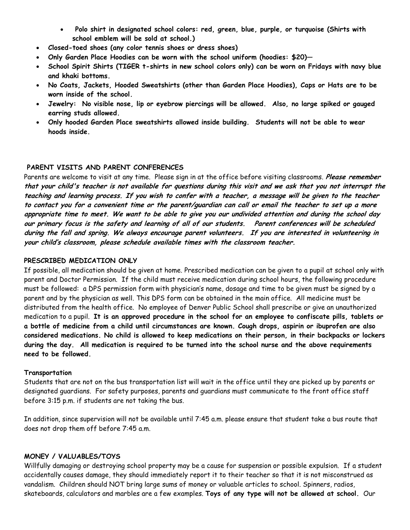- **Polo shirt in designated school colors: red, green, blue, purple, or turquoise (Shirts with school emblem will be sold at school.)**
- **Closed-toed shoes (any color tennis shoes or dress shoes)**
- **Only Garden Place Hoodies can be worn with the school uniform (hoodies: \$20)—**
- **School Spirit Shirts (TIGER t-shirts in new school colors only) can be worn on Fridays with navy blue and khaki bottoms.**
- **No Coats, Jackets, Hooded Sweatshirts (other than Garden Place Hoodies), Caps or Hats are to be worn inside of the school.**
- **Jewelry: No visible nose, lip or eyebrow piercings will be allowed. Also, no large spiked or gauged earring studs allowed.**
- **Only hooded Garden Place sweatshirts allowed inside building. Students will not be able to wear hoods inside.**

### **PARENT VISITS AND PARENT CONFERENCES**

Parents are welcome to visit at any time. Please sign in at the office before visiting classrooms. **Please remember that your child's teacher is not available for questions during this visit and we ask that you not interrupt the teaching and learning process. If you wish to confer with a teacher, a message will be given to the teacher to contact you for a convenient time or the parent/guardian can call or email the teacher to set up a more appropriate time to meet. We want to be able to give you our undivided attention and during the school day our primary focus is the safety and learning of all of our students. Parent conferences will be scheduled during the fall and spring. We always encourage parent volunteers. If you are interested in volunteering in your child's classroom, please schedule available times with the classroom teacher.**

#### **PRESCRIBED MEDICATION ONLY**

If possible, all medication should be given at home. Prescribed medication can be given to a pupil at school only with parent and Doctor Permission. If the child must receive medication during school hours, the following procedure must be followed: a DPS permission form with physician's name, dosage and time to be given must be signed by a parent and by the physician as well. This DPS form can be obtained in the main office. All medicine must be distributed from the health office. No employee of Denver Public School shall prescribe or give an unauthorized medication to a pupil. **It is an approved procedure in the school for an employee to confiscate pills, tablets or a bottle of medicine from a child until circumstances are known. Cough drops, aspirin or ibuprofen are also considered medications. No child is allowed to keep medications on their person, in their backpacks or lockers during the day. All medication is required to be turned into the school nurse and the above requirements need to be followed.** 

#### **Transportation**

Students that are not on the bus transportation list will wait in the office until they are picked up by parents or designated guardians. For safety purposes, parents and guardians must communicate to the front office staff before 3:15 p.m. if students are not taking the bus.

In addition, since supervision will not be available until 7:45 a.m. please ensure that student take a bus route that does not drop them off before 7:45 a.m.

#### **MONEY / VALUABLES/TOYS**

Willfully damaging or destroying school property may be a cause for suspension or possible expulsion. If a student accidentally causes damage, they should immediately report it to their teacher so that it is not misconstrued as vandalism. Children should NOT bring large sums of money or valuable articles to school. Spinners, radios, skateboards, calculators and marbles are a few examples. **Toys of any type will not be allowed at school.** Our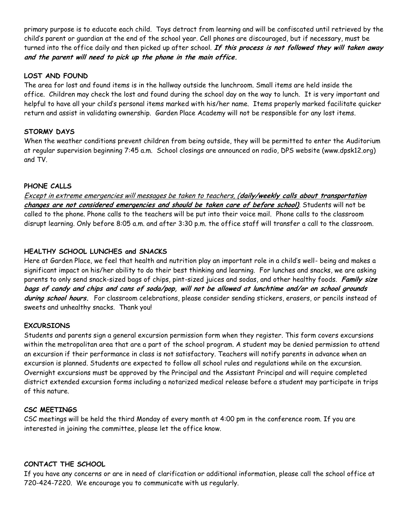primary purpose is to educate each child. Toys detract from learning and will be confiscated until retrieved by the child's parent or guardian at the end of the school year. Cell phones are discouraged, but if necessary, must be turned into the office daily and then picked up after school. **If this process is not followed they will taken away and the parent will need to pick up the phone in the main office.** 

### **LOST AND FOUND**

The area for lost and found items is in the hallway outside the lunchroom. Small items are held inside the office. Children may check the lost and found during the school day on the way to lunch. It is very important and helpful to have all your child's personal items marked with his/her name. Items properly marked facilitate quicker return and assist in validating ownership. Garden Place Academy will not be responsible for any lost items.

### **STORMY DAYS**

When the weather conditions prevent children from being outside, they will be permitted to enter the Auditorium at regular supervision beginning 7:45 a.m. School closings are announced on radio, DPS website (www.dpsk12.org) and TV.

# **PHONE CALLS**

Except in extreme emergencies will messages be taken to teachers, (**daily/weekly calls about transportation changes are not considered emergencies and should be taken care of before school)**. Students will not be called to the phone. Phone calls to the teachers will be put into their voice mail. Phone calls to the classroom disrupt learning. Only before 8:05 a.m. and after 3:30 p.m. the office staff will transfer a call to the classroom.

# **HEALTHY SCHOOL LUNCHES and SNACKS**

Here at Garden Place, we feel that health and nutrition play an important role in a child's well- being and makes a significant impact on his/her ability to do their best thinking and learning. For lunches and snacks, we are asking parents to only send snack-sized bags of chips, pint-sized juices and sodas, and other healthy foods. **Family size bags of candy and chips and cans of soda/pop, will not be allowed at lunchtime and/or on school grounds during school hours.** For classroom celebrations, please consider sending stickers, erasers, or pencils instead of sweets and unhealthy snacks. Thank you!

# **EXCURSIONS**

Students and parents sign a general excursion permission form when they register. This form covers excursions within the metropolitan area that are a part of the school program. A student may be denied permission to attend an excursion if their performance in class is not satisfactory. Teachers will notify parents in advance when an excursion is planned. Students are expected to follow all school rules and regulations while on the excursion. Overnight excursions must be approved by the Principal and the Assistant Principal and will require completed district extended excursion forms including a notarized medical release before a student may participate in trips of this nature.

#### **CSC MEETINGS**

CSC meetings will be held the third Monday of every month at 4:00 pm in the conference room. If you are interested in joining the committee, please let the office know.

#### **CONTACT THE SCHOOL**

If you have any concerns or are in need of clarification or additional information, please call the school office at 720-424-7220. We encourage you to communicate with us regularly.